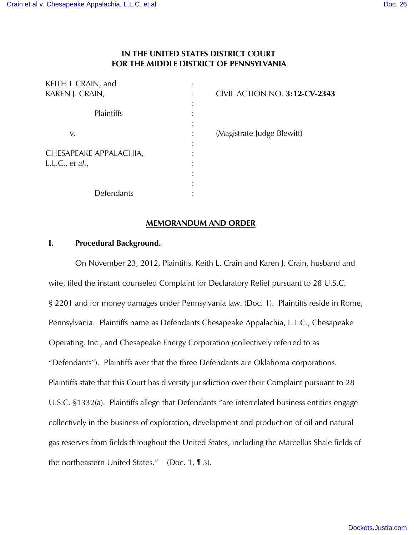## **IN THE UNITED STATES DISTRICT COURT FOR THE MIDDLE DISTRICT OF PENNSYLVANIA**

| KEITH L CRAIN, and     |                                      |
|------------------------|--------------------------------------|
| KAREN J. CRAIN,        | <b>CIVIL ACTION NO. 3:12-CV-2343</b> |
|                        |                                      |
| Plaintiffs             |                                      |
|                        |                                      |
| V.                     | (Magistrate Judge Blewitt)           |
|                        |                                      |
| CHESAPEAKE APPALACHIA, |                                      |
| L.L.C., et al.,        |                                      |
|                        |                                      |
|                        |                                      |
| Defendants             |                                      |

#### **MEMORANDUM AND ORDER**

## **I. Procedural Background.**

 On November 23, 2012, Plaintiffs, Keith L. Crain and Karen J. Crain, husband and wife, filed the instant counseled Complaint for Declaratory Relief pursuant to 28 U.S.C. § 2201 and for money damages under Pennsylvania law. (Doc. 1). Plaintiffs reside in Rome, Pennsylvania. Plaintiffs name as Defendants Chesapeake Appalachia, L.L.C., Chesapeake Operating, Inc., and Chesapeake Energy Corporation (collectively referred to as "Defendants"). Plaintiffs aver that the three Defendants are Oklahoma corporations. Plaintiffs state that this Court has diversity jurisdiction over their Complaint pursuant to 28 U.S.C. §1332(a). Plaintiffs allege that Defendants "are interrelated business entities engage collectively in the business of exploration, development and production of oil and natural gas reserves from fields throughout the United States, including the Marcellus Shale fields of the northeastern United States." (Doc. 1, ¶ 5).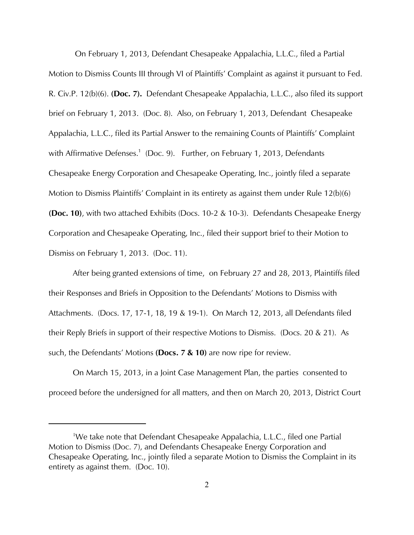On February 1, 2013, Defendant Chesapeake Appalachia, L.L.C., filed a Partial Motion to Dismiss Counts III through VI of Plaintiffs' Complaint as against it pursuant to Fed. R. Civ.P. 12(b)(6). **(Doc. 7).** Defendant Chesapeake Appalachia, L.L.C., also filed its support brief on February 1, 2013. (Doc. 8). Also, on February 1, 2013, Defendant Chesapeake Appalachia, L.L.C., filed its Partial Answer to the remaining Counts of Plaintiffs' Complaint with Affirmative Defenses.<sup>1</sup> (Doc. 9). Further, on February 1, 2013, Defendants Chesapeake Energy Corporation and Chesapeake Operating, Inc., jointly filed a separate Motion to Dismiss Plaintiffs' Complaint in its entirety as against them under Rule 12(b)(6) **(Doc. 10)**, with two attached Exhibits (Docs. 10-2 & 10-3). Defendants Chesapeake Energy Corporation and Chesapeake Operating, Inc., filed their support brief to their Motion to Dismiss on February 1, 2013. (Doc. 11).

 After being granted extensions of time, on February 27 and 28, 2013, Plaintiffs filed their Responses and Briefs in Opposition to the Defendants' Motions to Dismiss with Attachments. (Docs. 17, 17-1, 18, 19 & 19-1). On March 12, 2013, all Defendants filed their Reply Briefs in support of their respective Motions to Dismiss. (Docs. 20 & 21). As such, the Defendants' Motions **(Docs. 7 & 10)** are now ripe for review.

 On March 15, 2013, in a Joint Case Management Plan, the parties consented to proceed before the undersigned for all matters, and then on March 20, 2013, District Court

<sup>&</sup>lt;sup>1</sup>We take note that Defendant Chesapeake Appalachia, L.L.C., filed one Partial Motion to Dismiss (Doc. 7), and Defendants Chesapeake Energy Corporation and Chesapeake Operating, Inc., jointly filed a separate Motion to Dismiss the Complaint in its entirety as against them. (Doc. 10).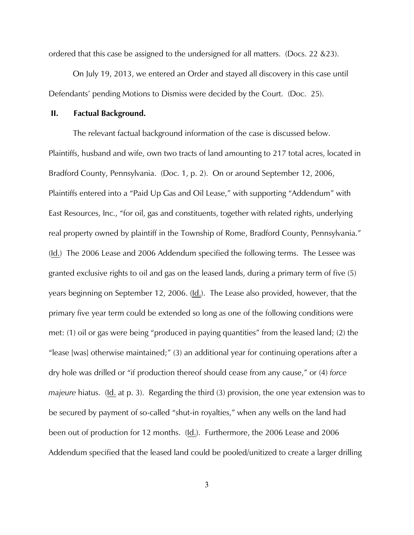ordered that this case be assigned to the undersigned for all matters. (Docs. 22 &23).

 On July 19, 2013, we entered an Order and stayed all discovery in this case until Defendants' pending Motions to Dismiss were decided by the Court. (Doc. 25).

#### **II. Factual Background.**

The relevant factual background information of the case is discussed below. Plaintiffs, husband and wife, own two tracts of land amounting to 217 total acres, located in Bradford County, Pennsylvania. (Doc. 1, p. 2). On or around September 12, 2006, Plaintiffs entered into a "Paid Up Gas and Oil Lease," with supporting "Addendum" with East Resources, Inc., "for oil, gas and constituents, together with related rights, underlying real property owned by plaintiff in the Township of Rome, Bradford County, Pennsylvania." (Id.) The 2006 Lease and 2006 Addendum specified the following terms. The Lessee was granted exclusive rights to oil and gas on the leased lands, during a primary term of five (5) years beginning on September 12, 2006. (Id.). The Lease also provided, however, that the primary five year term could be extended so long as one of the following conditions were met: (1) oil or gas were being "produced in paying quantities" from the leased land; (2) the "lease [was] otherwise maintained;" (3) an additional year for continuing operations after a dry hole was drilled or "if production thereof should cease from any cause," or (4) *force majeure* hiatus. (Id. at p. 3). Regarding the third (3) provision, the one year extension was to be secured by payment of so-called "shut-in royalties," when any wells on the land had been out of production for 12 months. (Id.). Furthermore, the 2006 Lease and 2006 Addendum specified that the leased land could be pooled/unitized to create a larger drilling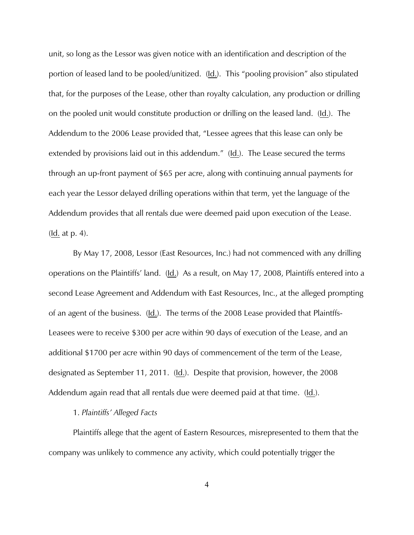unit, so long as the Lessor was given notice with an identification and description of the portion of leased land to be pooled/unitized. (Id.). This "pooling provision" also stipulated that, for the purposes of the Lease, other than royalty calculation, any production or drilling on the pooled unit would constitute production or drilling on the leased land. (Id.). The Addendum to the 2006 Lease provided that, "Lessee agrees that this lease can only be extended by provisions laid out in this addendum." (Id.). The Lease secured the terms through an up-front payment of \$65 per acre, along with continuing annual payments for each year the Lessor delayed drilling operations within that term, yet the language of the Addendum provides that all rentals due were deemed paid upon execution of the Lease.  $(\underline{\mathsf{Id}})$  at p. 4.

By May 17, 2008, Lessor (East Resources, Inc.) had not commenced with any drilling operations on the Plaintiffs' land. (Id.) As a result, on May 17, 2008, Plaintiffs entered into a second Lease Agreement and Addendum with East Resources, Inc., at the alleged prompting of an agent of the business. (Id.). The terms of the 2008 Lease provided that Plaintffs-Leasees were to receive \$300 per acre within 90 days of execution of the Lease, and an additional \$1700 per acre within 90 days of commencement of the term of the Lease, designated as September 11, 2011. (Id.). Despite that provision, however, the 2008 Addendum again read that all rentals due were deemed paid at that time. (Id.).

#### 1. *Plaintiffs' Alleged Facts*

Plaintiffs allege that the agent of Eastern Resources, misrepresented to them that the company was unlikely to commence any activity, which could potentially trigger the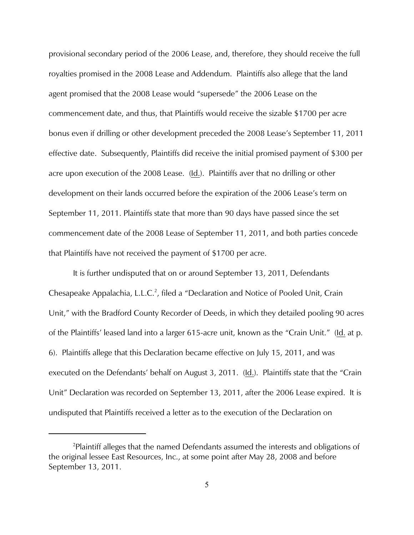provisional secondary period of the 2006 Lease, and, therefore, they should receive the full royalties promised in the 2008 Lease and Addendum. Plaintiffs also allege that the land agent promised that the 2008 Lease would "supersede" the 2006 Lease on the commencement date, and thus, that Plaintiffs would receive the sizable \$1700 per acre bonus even if drilling or other development preceded the 2008 Lease's September 11, 2011 effective date. Subsequently, Plaintiffs did receive the initial promised payment of \$300 per acre upon execution of the 2008 Lease. (Id.). Plaintiffs aver that no drilling or other development on their lands occurred before the expiration of the 2006 Lease's term on September 11, 2011. Plaintiffs state that more than 90 days have passed since the set commencement date of the 2008 Lease of September 11, 2011, and both parties concede that Plaintiffs have not received the payment of \$1700 per acre.

It is further undisputed that on or around September 13, 2011, Defendants Chesapeake Appalachia, L.L.C.<sup>2</sup>, filed a "Declaration and Notice of Pooled Unit, Crain Unit," with the Bradford County Recorder of Deeds, in which they detailed pooling 90 acres of the Plaintiffs' leased land into a larger 615-acre unit, known as the "Crain Unit." (Id. at p. 6). Plaintiffs allege that this Declaration became effective on July 15, 2011, and was executed on the Defendants' behalf on August 3, 2011. (Id.). Plaintiffs state that the "Crain Unit" Declaration was recorded on September 13, 2011, after the 2006 Lease expired. It is undisputed that Plaintiffs received a letter as to the execution of the Declaration on

<sup>&</sup>lt;sup>2</sup>Plaintiff alleges that the named Defendants assumed the interests and obligations of the original lessee East Resources, Inc., at some point after May 28, 2008 and before September 13, 2011.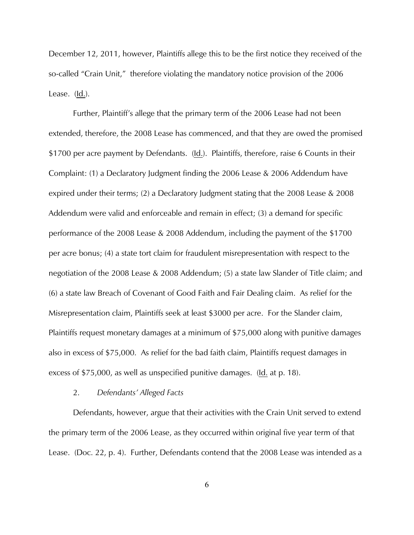December 12, 2011, however, Plaintiffs allege this to be the first notice they received of the so-called "Crain Unit," therefore violating the mandatory notice provision of the 2006 Lease. (Id.).

Further, Plaintiff's allege that the primary term of the 2006 Lease had not been extended, therefore, the 2008 Lease has commenced, and that they are owed the promised \$1700 per acre payment by Defendants. (Id.). Plaintiffs, therefore, raise 6 Counts in their Complaint: (1) a Declaratory Judgment finding the 2006 Lease & 2006 Addendum have expired under their terms; (2) a Declaratory Judgment stating that the 2008 Lease & 2008 Addendum were valid and enforceable and remain in effect; (3) a demand for specific performance of the 2008 Lease & 2008 Addendum, including the payment of the \$1700 per acre bonus; (4) a state tort claim for fraudulent misrepresentation with respect to the negotiation of the 2008 Lease & 2008 Addendum; (5) a state law Slander of Title claim; and (6) a state law Breach of Covenant of Good Faith and Fair Dealing claim. As relief for the Misrepresentation claim, Plaintiffs seek at least \$3000 per acre. For the Slander claim, Plaintiffs request monetary damages at a minimum of \$75,000 along with punitive damages also in excess of \$75,000. As relief for the bad faith claim, Plaintiffs request damages in excess of \$75,000, as well as unspecified punitive damages. (Id. at p. 18).

#### 2. *Defendants' Alleged Facts*

Defendants, however, argue that their activities with the Crain Unit served to extend the primary term of the 2006 Lease, as they occurred within original five year term of that Lease. (Doc. 22, p. 4). Further, Defendants contend that the 2008 Lease was intended as a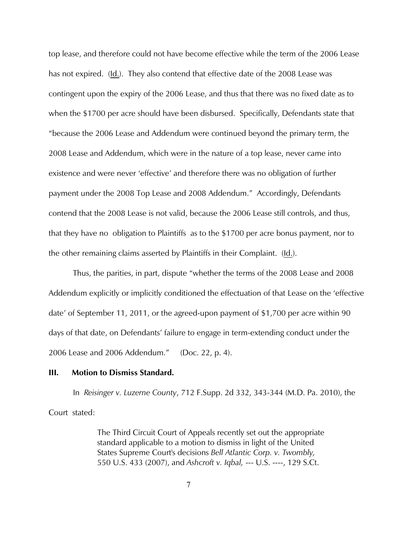top lease, and therefore could not have become effective while the term of the 2006 Lease has not expired. (Id.). They also contend that effective date of the 2008 Lease was contingent upon the expiry of the 2006 Lease, and thus that there was no fixed date as to when the \$1700 per acre should have been disbursed. Specifically, Defendants state that "because the 2006 Lease and Addendum were continued beyond the primary term, the 2008 Lease and Addendum, which were in the nature of a top lease, never came into existence and were never 'effective' and therefore there was no obligation of further payment under the 2008 Top Lease and 2008 Addendum." Accordingly, Defendants contend that the 2008 Lease is not valid, because the 2006 Lease still controls, and thus, that they have no obligation to Plaintiffs as to the \$1700 per acre bonus payment, nor to the other remaining claims asserted by Plaintiffs in their Complaint. (Id.).

 Thus, the parities, in part, dispute "whether the terms of the 2008 Lease and 2008 Addendum explicitly or implicitly conditioned the effectuation of that Lease on the 'effective date' of September 11, 2011, or the agreed-upon payment of \$1,700 per acre within 90 days of that date, on Defendants' failure to engage in term-extending conduct under the 2006 Lease and 2006 Addendum." (Doc. 22, p. 4).

#### **III. Motion to Dismiss Standard.**

In *Reisinger v. Luzerne County*, 712 F.Supp. 2d 332, 343-344 (M.D. Pa. 2010), the Court stated:

> The Third Circuit Court of Appeals recently set out the appropriate standard applicable to a motion to dismiss in light of the United States Supreme Court's decisions *Bell Atlantic Corp. v. Twombly,* 550 U.S. 433 (2007), and *Ashcroft v. Iqbal,* --- U.S. ----, 129 S.Ct.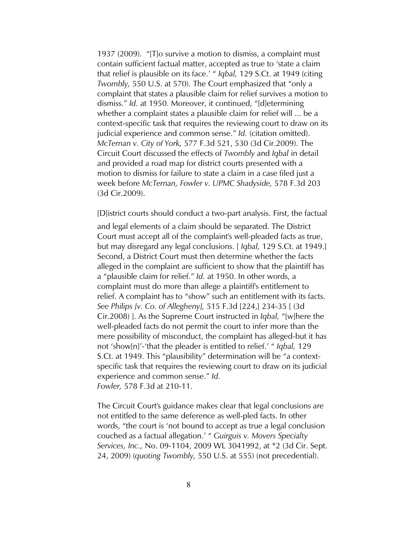1937 (2009). "[T]o survive a motion to dismiss, a complaint must contain sufficient factual matter, accepted as true to 'state a claim that relief is plausible on its face.' " *Iqbal,* 129 S.Ct. at 1949 (citing *Twombly,* 550 U.S. at 570). The Court emphasized that "only a complaint that states a plausible claim for relief survives a motion to dismiss." *Id.* at 1950. Moreover, it continued, "[d]etermining whether a complaint states a plausible claim for relief will ... be a context-specific task that requires the reviewing court to draw on its judicial experience and common sense." *Id.* (citation omitted). *McTernan v. City of York,* 577 F.3d 521, 530 (3d Cir.2009). The Circuit Court discussed the effects of *Twombly* and *Iqbal* in detail and provided a road map for district courts presented with a motion to dismiss for failure to state a claim in a case filed just a week before *McTernan, Fowler v. UPMC Shadyside,* 578 F.3d 203 (3d Cir.2009).

[D]istrict courts should conduct a two-part analysis. First, the factual

and legal elements of a claim should be separated. The District Court must accept all of the complaint's well-pleaded facts as true, but may disregard any legal conclusions. [ *Iqbal,* 129 S.Ct. at 1949.] Second, a District Court must then determine whether the facts alleged in the complaint are sufficient to show that the plaintiff has a "plausible claim for relief." *Id.* at 1950. In other words, a complaint must do more than allege a plaintiff's entitlement to relief. A complaint has to "show" such an entitlement with its facts. *See Philips [v. Co. of Allegheny],* 515 F.3d [224,] 234-35 [ (3d Cir.2008) ]. As the Supreme Court instructed in *Iqbal,* "[w]here the well-pleaded facts do not permit the court to infer more than the mere possibility of misconduct, the complaint has alleged-but it has not 'show[n]'-'that the pleader is entitled to relief.' " *Iqbal,* 129 S.Ct. at 1949. This "plausibility" determination will be "a contextspecific task that requires the reviewing court to draw on its judicial experience and common sense." *Id. Fowler,* 578 F.3d at 210-11.

The Circuit Court's guidance makes clear that legal conclusions are not entitled to the same deference as well-pled facts. In other words, "the court is 'not bound to accept as true a legal conclusion couched as a factual allegation.' " *Guirguis v. Movers Specialty Services, Inc.,* No. 09-1104, 2009 WL 3041992, at \*2 (3d Cir. Sept. 24, 2009) (*quoting Twombly,* 550 U.S. at 555) (not precedential).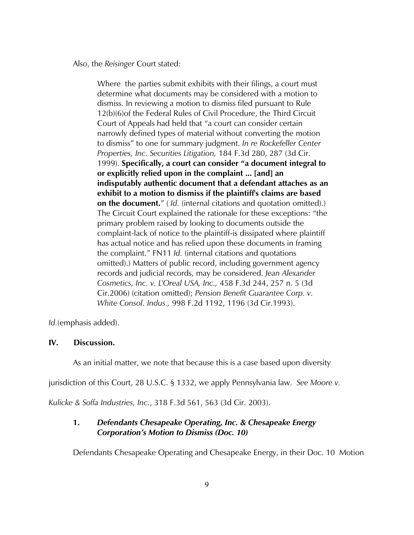Also, the *Reisinger* Court stated:

Where the parties submit exhibits with their filings, a court must determine what documents may be considered with a motion to dismiss. In reviewing a motion to dismiss filed pursuant to Rule 12(b)(6)of the Federal Rules of Civil Procedure, the Third Circuit Court of Appeals had held that "a court can consider certain narrowly defined types of material without converting the motion to dismiss" to one for summary judgment. *In re Rockefeller Center Properties, Inc. Securities Litigation,* 184 F.3d 280, 287 (3d Cir. 1999). **Specifically, a court can consider "a document integral to or explicitly relied upon in the complaint ... [and] an indisputably authentic document that a defendant attaches as an exhibit to a motion to dismiss if the plaintiff's claims are based on the document.**" ( *Id.* (internal citations and quotation omitted).) The Circuit Court explained the rationale for these exceptions: "the primary problem raised by looking to documents outside the complaint-lack of notice to the plaintiff-is dissipated where plaintiff has actual notice and has relied upon these documents in framing the complaint." FN11 *Id.* (internal citations and quotations omitted).) Matters of public record, including government agency records and judicial records, may be considered. *Jean Alexander Cosmetics, Inc. v. L'Oreal USA, Inc.,* 458 F.3d 244, 257 n. 5 (3d Cir.2006) (citation omitted); *Pension Benefit Guarantee Corp. v. White Consol. Indus.,* 998 F.2d 1192, 1196 (3d Cir.1993).

*Id.*(emphasis added).

#### **IV. Discussion.**

As an initial matter, we note that because this is a case based upon diversity

jurisdiction of this Court, 28 U.S.C. § 1332, we apply Pennsylvania law. *See Moore v.*

*Kulicke & Soffa Industries, Inc.*, 318 F.3d 561, 563 (3d Cir. 2003).

# **1.** *Defendants Chesapeake Operating, Inc. & Chesapeake Energy Corporation's Motion to Dismiss (Doc. 10)*

Defendants Chesapeake Operating and Chesapeake Energy, in their Doc. 10 Motion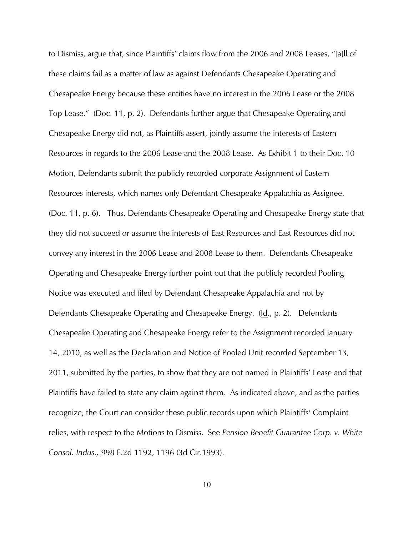to Dismiss, argue that, since Plaintiffs' claims flow from the 2006 and 2008 Leases, "[a]ll of these claims fail as a matter of law as against Defendants Chesapeake Operating and Chesapeake Energy because these entities have no interest in the 2006 Lease or the 2008 Top Lease." (Doc. 11, p. 2). Defendants further argue that Chesapeake Operating and Chesapeake Energy did not, as Plaintiffs assert, jointly assume the interests of Eastern Resources in regards to the 2006 Lease and the 2008 Lease. As Exhibit 1 to their Doc. 10 Motion, Defendants submit the publicly recorded corporate Assignment of Eastern Resources interests, which names only Defendant Chesapeake Appalachia as Assignee. (Doc. 11, p. 6). Thus, Defendants Chesapeake Operating and Chesapeake Energy state that they did not succeed or assume the interests of East Resources and East Resources did not convey any interest in the 2006 Lease and 2008 Lease to them. Defendants Chesapeake Operating and Chesapeake Energy further point out that the publicly recorded Pooling Notice was executed and filed by Defendant Chesapeake Appalachia and not by Defendants Chesapeake Operating and Chesapeake Energy. (Id., p. 2). Defendants Chesapeake Operating and Chesapeake Energy refer to the Assignment recorded January 14, 2010, as well as the Declaration and Notice of Pooled Unit recorded September 13, 2011, submitted by the parties, to show that they are not named in Plaintiffs' Lease and that Plaintiffs have failed to state any claim against them. As indicated above, and as the parties recognize, the Court can consider these public records upon which Plaintiffs' Complaint relies, with respect to the Motions to Dismiss. See *Pension Benefit Guarantee Corp. v. White Consol. Indus.,* 998 F.2d 1192, 1196 (3d Cir.1993).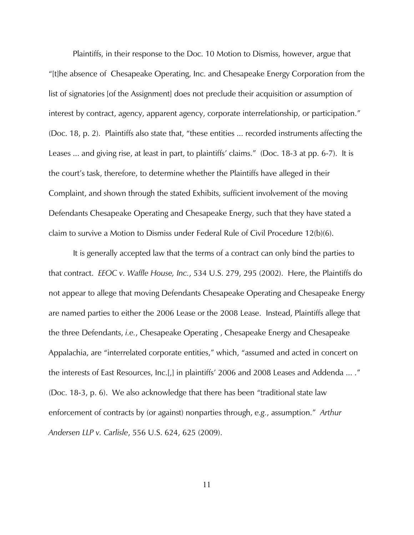Plaintiffs, in their response to the Doc. 10 Motion to Dismiss, however, argue that "[t]he absence of Chesapeake Operating, Inc. and Chesapeake Energy Corporation from the list of signatories [of the Assignment] does not preclude their acquisition or assumption of interest by contract, agency, apparent agency, corporate interrelationship, or participation." (Doc. 18, p. 2). Plaintiffs also state that, "these entities ... recorded instruments affecting the Leases ... and giving rise, at least in part, to plaintiffs' claims." (Doc. 18-3 at pp. 6-7). It is the court's task, therefore, to determine whether the Plaintiffs have alleged in their Complaint, and shown through the stated Exhibits, sufficient involvement of the moving Defendants Chesapeake Operating and Chesapeake Energy, such that they have stated a claim to survive a Motion to Dismiss under Federal Rule of Civil Procedure 12(b)(6).

It is generally accepted law that the terms of a contract can only bind the parties to that contract. *EEOC v. Waffle House, Inc.*, 534 U.S. 279, 295 (2002). Here, the Plaintiffs do not appear to allege that moving Defendants Chesapeake Operating and Chesapeake Energy are named parties to either the 2006 Lease or the 2008 Lease. Instead, Plaintiffs allege that the three Defendants, *i.e.*, Chesapeake Operating , Chesapeake Energy and Chesapeake Appalachia, are "interrelated corporate entities," which, "assumed and acted in concert on the interests of East Resources, Inc.[,] in plaintiffs' 2006 and 2008 Leases and Addenda ... ." (Doc. 18-3, p. 6). We also acknowledge that there has been "traditional state law enforcement of contracts by (or against) nonparties through, *e.g.*, assumption." *Arthur Andersen LLP v. Carlisle*, 556 U.S. 624, 625 (2009).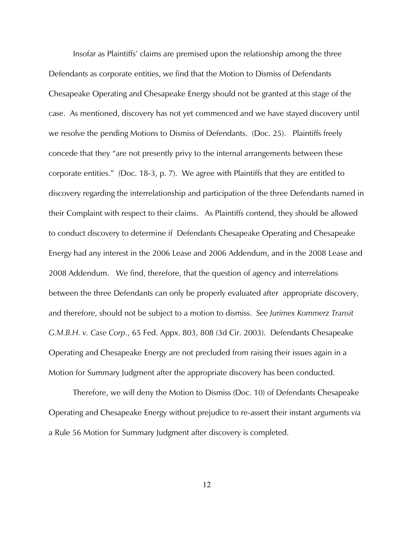Insofar as Plaintiffs' claims are premised upon the relationship among the three Defendants as corporate entities, we find that the Motion to Dismiss of Defendants Chesapeake Operating and Chesapeake Energy should not be granted at this stage of the case. As mentioned, discovery has not yet commenced and we have stayed discovery until we resolve the pending Motions to Dismiss of Defendants. (Doc. 25). Plaintiffs freely concede that they "are not presently privy to the internal arrangements between these corporate entities." (Doc. 18-3, p. 7). We agree with Plaintiffs that they are entitled to discovery regarding the interrelationship and participation of the three Defendants named in their Complaint with respect to their claims. As Plaintiffs contend, they should be allowed to conduct discovery to determine if Defendants Chesapeake Operating and Chesapeake Energy had any interest in the 2006 Lease and 2006 Addendum, and in the 2008 Lease and 2008 Addendum. We find, therefore, that the question of agency and interrelations between the three Defendants can only be properly evaluated after appropriate discovery, and therefore, should not be subject to a motion to dismiss. *See Jurimex Kommerz Transit G.M.B.H. v. Case Corp.*, 65 Fed. Appx. 803, 808 (3d Cir. 2003). Defendants Chesapeake Operating and Chesapeake Energy are not precluded from raising their issues again in a Motion for Summary Judgment after the appropriate discovery has been conducted.

 Therefore, we will deny the Motion to Dismiss (Doc. 10) of Defendants Chesapeake Operating and Chesapeake Energy without prejudice to re-assert their instant arguments *via* a Rule 56 Motion for Summary Judgment after discovery is completed.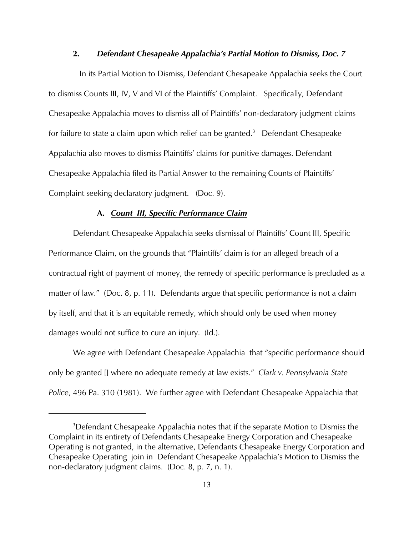## **2.** *Defendant Chesapeake Appalachia's Partial Motion to Dismiss, Doc. 7*

In its Partial Motion to Dismiss, Defendant Chesapeake Appalachia seeks the Court to dismiss Counts III, IV, V and VI of the Plaintiffs' Complaint. Specifically, Defendant Chesapeake Appalachia moves to dismiss all of Plaintiffs' non-declaratory judgment claims for failure to state a claim upon which relief can be granted.<sup>3</sup> Defendant Chesapeake Appalachia also moves to dismiss Plaintiffs' claims for punitive damages. Defendant Chesapeake Appalachia filed its Partial Answer to the remaining Counts of Plaintiffs' Complaint seeking declaratory judgment. (Doc. 9).

#### **A.** *Count III, Specific Performance Claim*

Defendant Chesapeake Appalachia seeks dismissal of Plaintiffs' Count III, Specific Performance Claim, on the grounds that "Plaintiffs' claim is for an alleged breach of a contractual right of payment of money, the remedy of specific performance is precluded as a matter of law." (Doc. 8, p. 11). Defendants argue that specific performance is not a claim by itself, and that it is an equitable remedy, which should only be used when money damages would not suffice to cure an injury. (Id.).

We agree with Defendant Chesapeake Appalachia that "specific performance should only be granted [] where no adequate remedy at law exists." *Clark v. Pennsylvania State Police*, 496 Pa. 310 (1981). We further agree with Defendant Chesapeake Appalachia that

<sup>&</sup>lt;sup>3</sup>Defendant Chesapeake Appalachia notes that if the separate Motion to Dismiss the Complaint in its entirety of Defendants Chesapeake Energy Corporation and Chesapeake Operating is not granted, in the alternative, Defendants Chesapeake Energy Corporation and Chesapeake Operating join in Defendant Chesapeake Appalachia's Motion to Dismiss the non-declaratory judgment claims. (Doc. 8, p. 7, n. 1).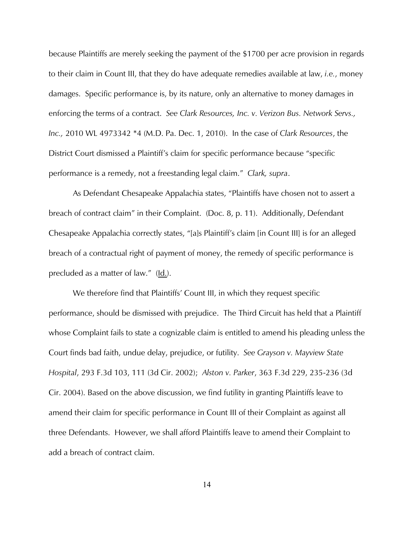because Plaintiffs are merely seeking the payment of the \$1700 per acre provision in regards to their claim in Count III, that they do have adequate remedies available at law, *i.e.*, money damages. Specific performance is, by its nature, only an alternative to money damages in enforcing the terms of a contract. *See Clark Resources, Inc. v. Verizon Bus. Network Servs., Inc.,* 2010 WL 4973342 \*4 (M.D. Pa. Dec. 1, 2010). In the case of *Clark Resources*, the District Court dismissed a Plaintiff's claim for specific performance because "specific performance is a remedy, not a freestanding legal claim." *Clark, supra*.

As Defendant Chesapeake Appalachia states, "Plaintiffs have chosen not to assert a breach of contract claim" in their Complaint. (Doc. 8, p. 11). Additionally, Defendant Chesapeake Appalachia correctly states, "[a]s Plaintiff's claim [in Count III] is for an alleged breach of a contractual right of payment of money, the remedy of specific performance is precluded as a matter of law." (Id.).

 We therefore find that Plaintiffs' Count III, in which they request specific performance, should be dismissed with prejudice. The Third Circuit has held that a Plaintiff whose Complaint fails to state a cognizable claim is entitled to amend his pleading unless the Court finds bad faith, undue delay, prejudice, or futility. *See Grayson v. Mayview State Hospital*, 293 F.3d 103, 111 (3d Cir. 2002); *Alston v. Parker*, 363 F.3d 229, 235-236 (3d Cir. 2004). Based on the above discussion, we find futility in granting Plaintiffs leave to amend their claim for specific performance in Count III of their Complaint as against all three Defendants. However, we shall afford Plaintiffs leave to amend their Complaint to add a breach of contract claim.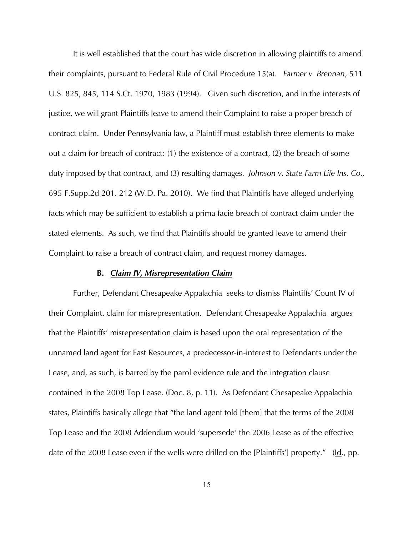It is well established that the court has wide discretion in allowing plaintiffs to amend their complaints, pursuant to Federal Rule of Civil Procedure 15(a). *Farmer v. Brennan*, 511 U.S. 825, 845, 114 S.Ct. 1970, 1983 (1994). Given such discretion, and in the interests of justice, we will grant Plaintiffs leave to amend their Complaint to raise a proper breach of contract claim. Under Pennsylvania law, a Plaintiff must establish three elements to make out a claim for breach of contract: (1) the existence of a contract, (2) the breach of some duty imposed by that contract, and (3) resulting damages. *Johnson v. State Farm Life Ins. Co.,* 695 F.Supp.2d 201. 212 (W.D. Pa. 2010). We find that Plaintiffs have alleged underlying facts which may be sufficient to establish a prima facie breach of contract claim under the stated elements. As such, we find that Plaintiffs should be granted leave to amend their Complaint to raise a breach of contract claim, and request money damages.

#### **B.** *Claim IV, Misrepresentation Claim*

Further, Defendant Chesapeake Appalachia seeks to dismiss Plaintiffs' Count IV of their Complaint, claim for misrepresentation. Defendant Chesapeake Appalachia argues that the Plaintiffs' misrepresentation claim is based upon the oral representation of the unnamed land agent for East Resources, a predecessor-in-interest to Defendants under the Lease, and, as such, is barred by the parol evidence rule and the integration clause contained in the 2008 Top Lease. (Doc. 8, p. 11). As Defendant Chesapeake Appalachia states, Plaintiffs basically allege that "the land agent told [them] that the terms of the 2008 Top Lease and the 2008 Addendum would 'supersede' the 2006 Lease as of the effective date of the 2008 Lease even if the wells were drilled on the [Plaintiffs'] property." (Id., pp.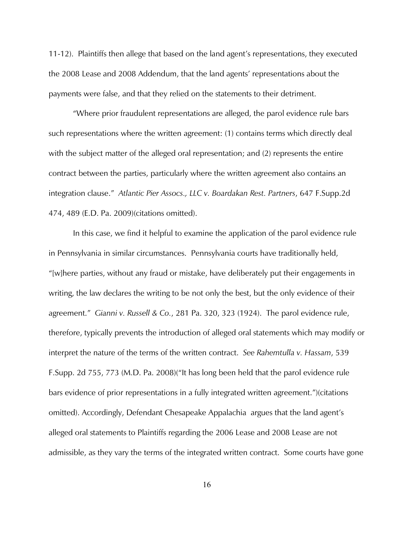11-12). Plaintiffs then allege that based on the land agent's representations, they executed the 2008 Lease and 2008 Addendum, that the land agents' representations about the payments were false, and that they relied on the statements to their detriment.

 "Where prior fraudulent representations are alleged, the parol evidence rule bars such representations where the written agreement: (1) contains terms which directly deal with the subject matter of the alleged oral representation; and (2) represents the entire contract between the parties, particularly where the written agreement also contains an integration clause." *Atlantic Pier Assocs., LLC v. Boardakan Rest. Partners*, 647 F.Supp.2d 474, 489 (E.D. Pa. 2009)(citations omitted).

 In this case, we find it helpful to examine the application of the parol evidence rule in Pennsylvania in similar circumstances. Pennsylvania courts have traditionally held, "[w]here parties, without any fraud or mistake, have deliberately put their engagements in writing, the law declares the writing to be not only the best, but the only evidence of their agreement." *Gianni v. Russell & Co.*, 281 Pa. 320, 323 (1924). The parol evidence rule, therefore, typically prevents the introduction of alleged oral statements which may modify or interpret the nature of the terms of the written contract. *See Rahemtulla v. Hassam*, 539 F.Supp. 2d 755, 773 (M.D. Pa. 2008)("It has long been held that the parol evidence rule bars evidence of prior representations in a fully integrated written agreement.")(citations omitted). Accordingly, Defendant Chesapeake Appalachia argues that the land agent's alleged oral statements to Plaintiffs regarding the 2006 Lease and 2008 Lease are not admissible, as they vary the terms of the integrated written contract. Some courts have gone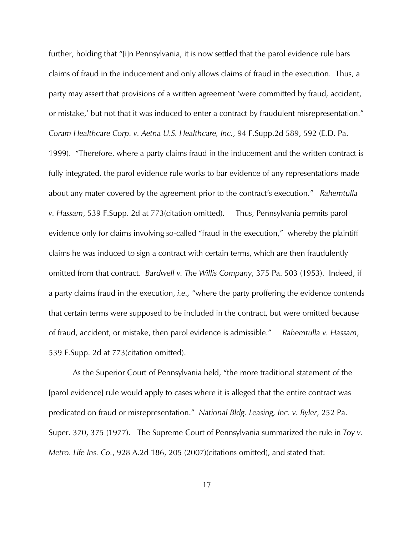further, holding that "[i]n Pennsylvania, it is now settled that the parol evidence rule bars claims of fraud in the inducement and only allows claims of fraud in the execution. Thus, a party may assert that provisions of a written agreement 'were committed by fraud, accident, or mistake,' but not that it was induced to enter a contract by fraudulent misrepresentation." *Coram Healthcare Corp. v. Aetna U.S. Healthcare, Inc.*, 94 F.Supp.2d 589, 592 (E.D. Pa. 1999). "Therefore, where a party claims fraud in the inducement and the written contract is fully integrated, the parol evidence rule works to bar evidence of any representations made about any mater covered by the agreement prior to the contract's execution." *Rahemtulla v. Hassam*, 539 F.Supp. 2d at 773(citation omitted). Thus, Pennsylvania permits parol evidence only for claims involving so-called "fraud in the execution," whereby the plaintiff claims he was induced to sign a contract with certain terms, which are then fraudulently omitted from that contract. *Bardwell v. The Willis Company*, 375 Pa. 503 (1953). Indeed, if a party claims fraud in the execution, *i.e.,* "where the party proffering the evidence contends that certain terms were supposed to be included in the contract, but were omitted because of fraud, accident, or mistake, then parol evidence is admissible." *Rahemtulla v. Hassam*, 539 F.Supp. 2d at 773(citation omitted).

 As the Superior Court of Pennsylvania held, "the more traditional statement of the [parol evidence] rule would apply to cases where it is alleged that the entire contract was predicated on fraud or misrepresentation." *National Bldg. Leasing, Inc. v. Byler*, 252 Pa. Super. 370, 375 (1977). The Supreme Court of Pennsylvania summarized the rule in *Toy v. Metro. Life Ins. Co.*, 928 A.2d 186, 205 (2007)(citations omitted), and stated that: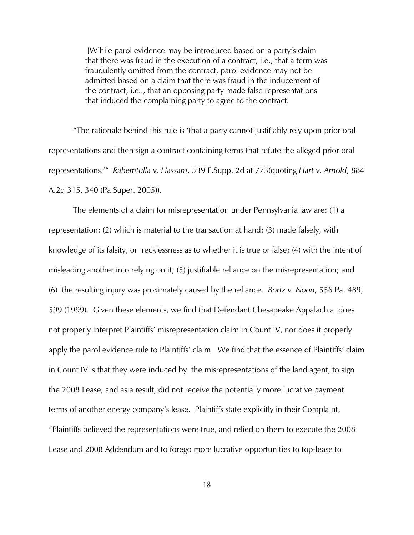[W]hile parol evidence may be introduced based on a party's claim that there was fraud in the execution of a contract, i.e., that a term was fraudulently omitted from the contract, parol evidence may not be admitted based on a claim that there was fraud in the inducement of the contract, i.e.., that an opposing party made false representations that induced the complaining party to agree to the contract.

"The rationale behind this rule is 'that a party cannot justifiably rely upon prior oral representations and then sign a contract containing terms that refute the alleged prior oral representations.'" *Rahemtulla v. Hassam*, 539 F.Supp. 2d at 773(quoting *Hart v. Arnold*, 884 A.2d 315, 340 (Pa.Super. 2005)).

The elements of a claim for misrepresentation under Pennsylvania law are: (1) a representation; (2) which is material to the transaction at hand; (3) made falsely, with knowledge of its falsity, or recklessness as to whether it is true or false; (4) with the intent of misleading another into relying on it; (5) justifiable reliance on the misrepresentation; and (6) the resulting injury was proximately caused by the reliance. *Bortz v. Noon*, 556 Pa. 489, 599 (1999). Given these elements, we find that Defendant Chesapeake Appalachia does not properly interpret Plaintiffs' misrepresentation claim in Count IV, nor does it properly apply the parol evidence rule to Plaintiffs' claim. We find that the essence of Plaintiffs' claim in Count IV is that they were induced by the misrepresentations of the land agent, to sign the 2008 Lease, and as a result, did not receive the potentially more lucrative payment terms of another energy company's lease. Plaintiffs state explicitly in their Complaint, "Plaintiffs believed the representations were true, and relied on them to execute the 2008 Lease and 2008 Addendum and to forego more lucrative opportunities to top-lease to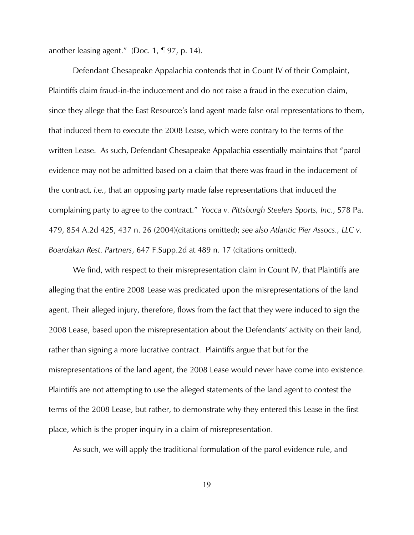another leasing agent." (Doc. 1, ¶ 97, p. 14).

 Defendant Chesapeake Appalachia contends that in Count IV of their Complaint, Plaintiffs claim fraud-in-the inducement and do not raise a fraud in the execution claim, since they allege that the East Resource's land agent made false oral representations to them, that induced them to execute the 2008 Lease, which were contrary to the terms of the written Lease. As such, Defendant Chesapeake Appalachia essentially maintains that "parol evidence may not be admitted based on a claim that there was fraud in the inducement of the contract, *i.e.*, that an opposing party made false representations that induced the complaining party to agree to the contract." *Yocca v. Pittsburgh Steelers Sports, Inc*., 578 Pa. 479, 854 A.2d 425, 437 n. 26 (2004)(citations omitted); *see also Atlantic Pier Assocs., LLC v. Boardakan Rest. Partners*, 647 F.Supp.2d at 489 n. 17 (citations omitted).

We find, with respect to their misrepresentation claim in Count IV, that Plaintiffs are alleging that the entire 2008 Lease was predicated upon the misrepresentations of the land agent. Their alleged injury, therefore, flows from the fact that they were induced to sign the 2008 Lease, based upon the misrepresentation about the Defendants' activity on their land, rather than signing a more lucrative contract. Plaintiffs argue that but for the misrepresentations of the land agent, the 2008 Lease would never have come into existence. Plaintiffs are not attempting to use the alleged statements of the land agent to contest the terms of the 2008 Lease, but rather, to demonstrate why they entered this Lease in the first place, which is the proper inquiry in a claim of misrepresentation.

As such, we will apply the traditional formulation of the parol evidence rule, and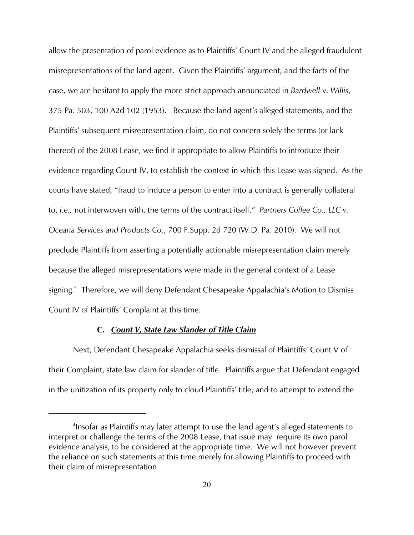allow the presentation of parol evidence as to Plaintiffs' Count IV and the alleged fraudulent misrepresentations of the land agent. Given the Plaintiffs' argument, and the facts of the case, we are hesitant to apply the more strict approach annunciated in *Bardwell* v. *Willis*, 375 Pa. 503, 100 A2d 102 (1953). Because the land agent's alleged statements, and the Plaintiffs' subsequent misrepresentation claim, do not concern solely the terms (or lack thereof) of the 2008 Lease, we find it appropriate to allow Plaintiffs to introduce their evidence regarding Count IV, to establish the context in which this Lease was signed. As the courts have stated, "fraud to induce a person to enter into a contract is generally collateral to, *i.e.,* not interwoven with, the terms of the contract itself." *Partners Coffee Co., LLC v. Oceana Services and Products Co.*, 700 F.Supp. 2d 720 (W.D. Pa. 2010). We will not preclude Plaintiffs from asserting a potentially actionable misrepresentation claim merely because the alleged misrepresentations were made in the general context of a Lease signing.<sup>4</sup> Therefore, we will deny Defendant Chesapeake Appalachia's Motion to Dismiss Count IV of Plaintiffs' Complaint at this time.

#### **C.** *Count V, State Law Slander of Title Claim*

Next, Defendant Chesapeake Appalachia seeks dismissal of Plaintiffs' Count V of their Complaint, state law claim for slander of title. Plaintiffs argue that Defendant engaged in the unitization of its property only to cloud Plaintiffs' title, and to attempt to extend the

<sup>&</sup>lt;sup>4</sup>Insofar as Plaintiffs may later attempt to use the land agent's alleged statements to interpret or challenge the terms of the 2008 Lease, that issue may require its own parol evidence analysis, to be considered at the appropriate time. We will not however prevent the reliance on such statements at this time merely for allowing Plaintiffs to proceed with their claim of misrepresentation.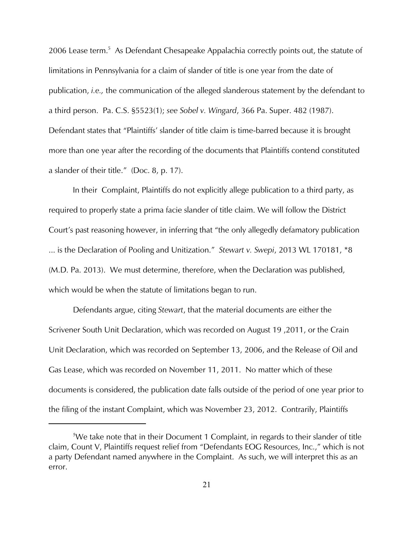2006 Lease term.<sup>5</sup> As Defendant Chesapeake Appalachia correctly points out, the statute of limitations in Pennsylvania for a claim of slander of title is one year from the date of publication, *i.e.,* the communication of the alleged slanderous statement by the defendant to a third person. Pa. C.S. §5523(1); *see Sobel v. Wingard*, 366 Pa. Super. 482 (1987). Defendant states that "Plaintiffs' slander of title claim is time-barred because it is brought more than one year after the recording of the documents that Plaintiffs contend constituted a slander of their title." (Doc. 8, p. 17).

 In their Complaint, Plaintiffs do not explicitly allege publication to a third party, as required to properly state a prima facie slander of title claim. We will follow the District Court's past reasoning however, in inferring that "the only allegedly defamatory publication ... is the Declaration of Pooling and Unitization." *Stewart v. Swepi*, 2013 WL 170181, \*8 (M.D. Pa. 2013). We must determine, therefore, when the Declaration was published, which would be when the statute of limitations began to run.

Defendants argue, citing *Stewart*, that the material documents are either the Scrivener South Unit Declaration, which was recorded on August 19 ,2011, or the Crain Unit Declaration, which was recorded on September 13, 2006, and the Release of Oil and Gas Lease, which was recorded on November 11, 2011. No matter which of these documents is considered, the publication date falls outside of the period of one year prior to the filing of the instant Complaint, which was November 23, 2012. Contrarily, Plaintiffs

<sup>&</sup>lt;sup>5</sup>We take note that in their Document 1 Complaint, in regards to their slander of title claim, Count V, Plaintiffs request relief from "Defendants EOG Resources, Inc.," which is not a party Defendant named anywhere in the Complaint. As such, we will interpret this as an error.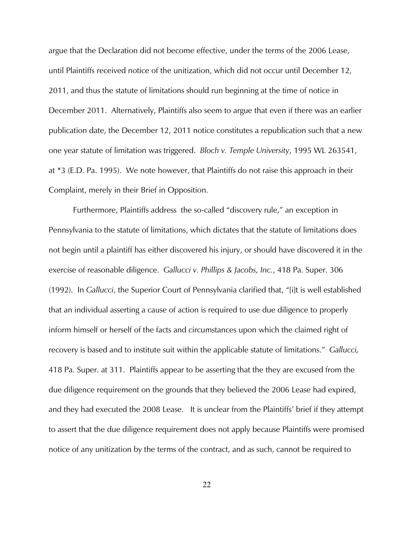argue that the Declaration did not become effective, under the terms of the 2006 Lease, until Plaintiffs received notice of the unitization, which did not occur until December 12, 2011, and thus the statute of limitations should run beginning at the time of notice in December 2011. Alternatively, Plaintiffs also seem to argue that even if there was an earlier publication date, the December 12, 2011 notice constitutes a republication such that a new one year statute of limitation was triggered. *Bloch v. Temple University*, 1995 WL 263541, at \*3 (E.D. Pa. 1995). We note however, that Plaintiffs do not raise this approach in their Complaint, merely in their Brief in Opposition.

Furthermore, Plaintiffs address the so-called "discovery rule," an exception in Pennsylvania to the statute of limitations, which dictates that the statute of limitations does not begin until a plaintiff has either discovered his injury, or should have discovered it in the exercise of reasonable diligence. *Gallucci v. Phillips & Jacobs, Inc.*, 418 Pa. Super. 306 (1992). In *Gallucci*, the Superior Court of Pennsylvania clarified that, "[i]t is well established that an individual asserting a cause of action is required to use due diligence to properly inform himself or herself of the facts and circumstances upon which the claimed right of recovery is based and to institute suit within the applicable statute of limitations." *Gallucci,* 418 Pa. Super. at 311. Plaintiffs appear to be asserting that the they are excused from the due diligence requirement on the grounds that they believed the 2006 Lease had expired, and they had executed the 2008 Lease. It is unclear from the Plaintiffs' brief if they attempt to assert that the due diligence requirement does not apply because Plaintiffs were promised notice of any unitization by the terms of the contract, and as such, cannot be required to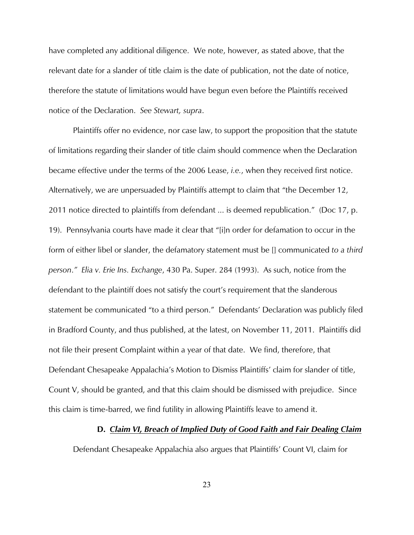have completed any additional diligence. We note, however, as stated above, that the relevant date for a slander of title claim is the date of publication, not the date of notice, therefore the statute of limitations would have begun even before the Plaintiffs received notice of the Declaration. *See Stewart, supra*.

Plaintiffs offer no evidence, nor case law, to support the proposition that the statute of limitations regarding their slander of title claim should commence when the Declaration became effective under the terms of the 2006 Lease, *i.e.*, when they received first notice. Alternatively, we are unpersuaded by Plaintiffs attempt to claim that "the December 12, 2011 notice directed to plaintiffs from defendant ... is deemed republication." (Doc 17, p. 19). Pennsylvania courts have made it clear that "[i]n order for defamation to occur in the form of either libel or slander, the defamatory statement must be [] communicated *to a third person*.*" Elia v. Erie Ins. Exchange*, 430 Pa. Super. 284 (1993). As such, notice from the defendant to the plaintiff does not satisfy the court's requirement that the slanderous statement be communicated "to a third person." Defendants' Declaration was publicly filed in Bradford County, and thus published, at the latest, on November 11, 2011. Plaintiffs did not file their present Complaint within a year of that date. We find, therefore, that Defendant Chesapeake Appalachia's Motion to Dismiss Plaintiffs' claim for slander of title, Count V, should be granted, and that this claim should be dismissed with prejudice. Since this claim is time-barred, we find futility in allowing Plaintiffs leave to amend it.

## **D.** *Claim VI, Breach of Implied Duty of Good Faith and Fair Dealing Claim*

Defendant Chesapeake Appalachia also argues that Plaintiffs' Count VI, claim for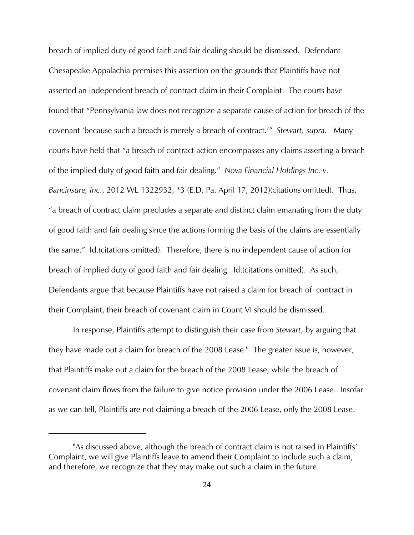breach of implied duty of good faith and fair dealing should be dismissed. Defendant Chesapeake Appalachia premises this assertion on the grounds that Plaintiffs have not asserted an independent breach of contract claim in their Complaint. The courts have found that "Pennsylvania law does not recognize a separate cause of action for breach of the covenant 'because such a breach is merely a breach of contract.'" *Stewart, supra.* Many courts have held that "a breach of contract action encompasses any claims asserting a breach of the implied duty of good faith and fair dealing." *Nova Financial Holdings Inc. v. Bancinsure, Inc.*, 2012 WL 1322932, \*3 (E.D. Pa. April 17, 2012)(citations omitted). Thus, "a breach of contract claim precludes a separate and distinct claim emanating from the duty of good faith and fair dealing since the actions forming the basis of the claims are essentially the same." Id.(citations omitted). Therefore, there is no independent cause of action for breach of implied duty of good faith and fair dealing. Id. (citations omitted). As such, Defendants argue that because Plaintiffs have not raised a claim for breach of contract in their Complaint, their breach of covenant claim in Count VI should be dismissed.

In response, Plaintiffs attempt to distinguish their case from *Stewart*, by arguing that they have made out a claim for breach of the  $2008$  Lease.<sup>6</sup> The greater issue is, however, that Plaintiffs make out a claim for the breach of the 2008 Lease, while the breach of covenant claim flows from the failure to give notice provision under the 2006 Lease. Insofar as we can tell, Plaintiffs are not claiming a breach of the 2006 Lease, only the 2008 Lease.

 $6$ As discussed above, although the breach of contract claim is not raised in Plaintiffs' Complaint, we will give Plaintiffs leave to amend their Complaint to include such a claim, and therefore, we recognize that they may make out such a claim in the future.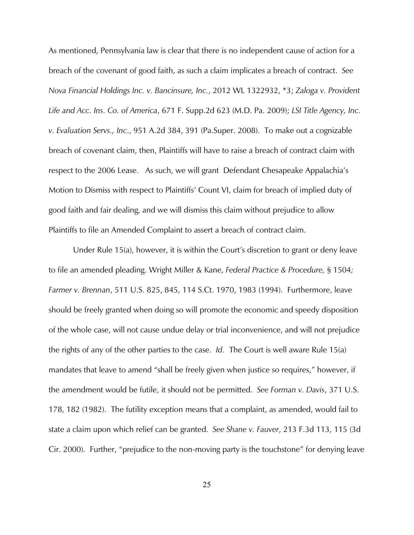As mentioned, Pennsylvania law is clear that there is no independent cause of action for a breach of the covenant of good faith, as such a claim implicates a breach of contract. *See Nova Financial Holdings Inc. v. Bancinsure, Inc.*, 2012 WL 1322932, \*3; *Zaloga v. Provident Life and Acc. Ins. Co. of America*, 671 F. Supp.2d 623 (M.D. Pa. 2009); *LSI Title Agency, Inc. v. Evaluation Servs., Inc*., 951 A.2d 384, 391 (Pa.Super. 2008). To make out a cognizable breach of covenant claim, then, Plaintiffs will have to raise a breach of contract claim with respect to the 2006 Lease. As such, we will grant Defendant Chesapeake Appalachia's Motion to Dismiss with respect to Plaintiffs' Count VI, claim for breach of implied duty of good faith and fair dealing, and we will dismiss this claim without prejudice to allow Plaintiffs to file an Amended Complaint to assert a breach of contract claim.

Under Rule 15(a), however, it is within the Court's discretion to grant or deny leave to file an amended pleading. Wright Miller & Kane, *Federal Practice & Procedure,* § 1504*; Farmer v. Brennan*, 511 U.S. 825, 845, 114 S.Ct. 1970, 1983 (1994). Furthermore, leave should be freely granted when doing so will promote the economic and speedy disposition of the whole case, will not cause undue delay or trial inconvenience, and will not prejudice the rights of any of the other parties to the case. *Id.* The Court is well aware Rule 15(a) mandates that leave to amend "shall be freely given when justice so requires," however, if the amendment would be futile, it should not be permitted. *See Forman v. Davis*, 371 U.S. 178, 182 (1982). The futility exception means that a complaint, as amended, would fail to state a claim upon which relief can be granted. *See Shane v. Fauver*, 213 F.3d 113, 115 (3d Cir. 2000). Further, "prejudice to the non-moving party is the touchstone" for denying leave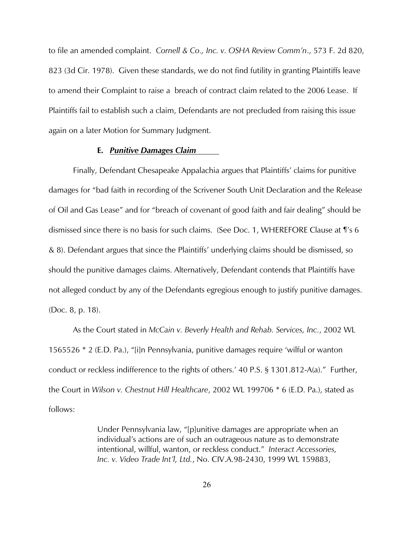to file an amended complaint. *Cornell & Co., Inc. v. OSHA Review Comm'n*., 573 F. 2d 820, 823 (3d Cir. 1978). Given these standards, we do not find futility in granting Plaintiffs leave to amend their Complaint to raise a breach of contract claim related to the 2006 Lease. If Plaintiffs fail to establish such a claim, Defendants are not precluded from raising this issue again on a later Motion for Summary Judgment.

#### **E.** *Punitive Damages Claim*

Finally, Defendant Chesapeake Appalachia argues that Plaintiffs' claims for punitive damages for "bad faith in recording of the Scrivener South Unit Declaration and the Release of Oil and Gas Lease" and for "breach of covenant of good faith and fair dealing" should be dismissed since there is no basis for such claims. (See Doc. 1, WHEREFORE Clause at ¶'s 6 & 8). Defendant argues that since the Plaintiffs' underlying claims should be dismissed, so should the punitive damages claims. Alternatively, Defendant contends that Plaintiffs have not alleged conduct by any of the Defendants egregious enough to justify punitive damages. (Doc. 8, p. 18).

As the Court stated in *McCain v. Beverly Health and Rehab. Services, Inc.*, 2002 WL 1565526 \* 2 (E.D. Pa.), "[i]n Pennsylvania, punitive damages require 'wilful or wanton conduct or reckless indifference to the rights of others.' 40 P.S. § 1301.812-A(a)." Further, the Court in *Wilson v. Chestnut Hill Healthcare*, 2002 WL 199706 \* 6 (E.D. Pa.), stated as follows:

> Under Pennsylvania law, "[p]unitive damages are appropriate when an individual's actions are of such an outrageous nature as to demonstrate intentional, willful, wanton, or reckless conduct." *Interact Accessories, Inc. v. Video Trade Int'l, Ltd.*, No. CIV.A.98-2430, 1999 WL 159883,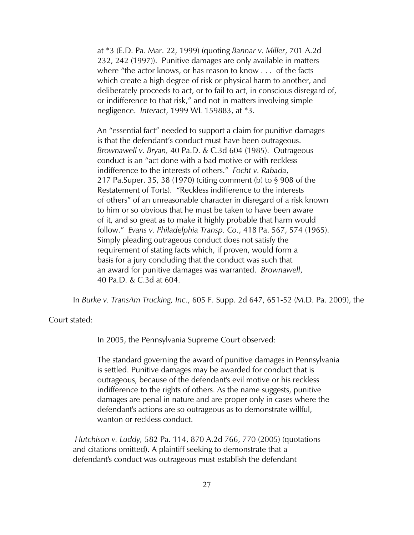at \*3 (E.D. Pa. Mar. 22, 1999) (quoting *Bannar v. Miller*, 701 A.2d 232, 242 (1997)). Punitive damages are only available in matters where "the actor knows, or has reason to know . . . of the facts which create a high degree of risk or physical harm to another, and deliberately proceeds to act, or to fail to act, in conscious disregard of, or indifference to that risk," and not in matters involving simple negligence. *Interact*, 1999 WL 159883, at \*3.

An "essential fact" needed to support a claim for punitive damages is that the defendant's conduct must have been outrageous. *Brownawell v. Bryan,* 40 Pa.D. & C.3d 604 (1985). Outrageous conduct is an "act done with a bad motive or with reckless indifference to the interests of others." *Focht v. Rabada*, 217 Pa.Super. 35, 38 (1970) (citing comment (b) to § 908 of the Restatement of Torts). "Reckless indifference to the interests of others" of an unreasonable character in disregard of a risk known to him or so obvious that he must be taken to have been aware of it, and so great as to make it highly probable that harm would follow." *Evans v. Philadelphia Transp. Co.*, 418 Pa. 567, 574 (1965). Simply pleading outrageous conduct does not satisfy the requirement of stating facts which, if proven, would form a basis for a jury concluding that the conduct was such that an award for punitive damages was warranted. *Brownawell*, 40 Pa.D. & C.3d at 604.

In *Burke v. TransAm Trucking, Inc*., 605 F. Supp. 2d 647, 651-52 (M.D. Pa. 2009), the

Court stated:

In 2005, the Pennsylvania Supreme Court observed:

The standard governing the award of punitive damages in Pennsylvania is settled. Punitive damages may be awarded for conduct that is outrageous, because of the defendant's evil motive or his reckless indifference to the rights of others. As the name suggests, punitive damages are penal in nature and are proper only in cases where the defendant's actions are so outrageous as to demonstrate willful, wanton or reckless conduct.

 *Hutchison v. Luddy,* 582 Pa. 114, 870 A.2d 766, 770 (2005) (quotations and citations omitted). A plaintiff seeking to demonstrate that a defendant's conduct was outrageous must establish the defendant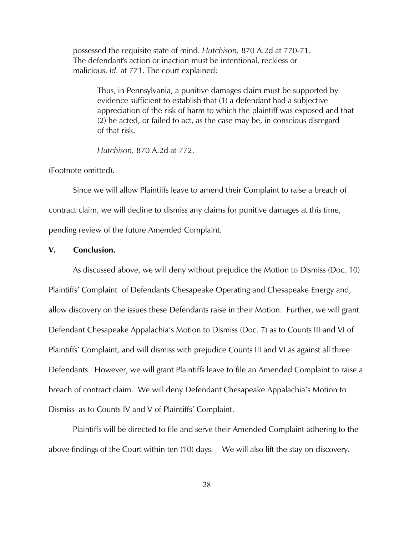possessed the requisite state of mind. *Hutchison,* 870 A.2d at 770-71. The defendant's action or inaction must be intentional, reckless or malicious. *Id.* at 771. The court explained:

 Thus, in Pennsylvania, a punitive damages claim must be supported by evidence sufficient to establish that (1) a defendant had a subjective appreciation of the risk of harm to which the plaintiff was exposed and that (2) he acted, or failed to act, as the case may be, in conscious disregard of that risk.

*Hutchison,* 870 A.2d at 772.

(Footnote omitted).

 Since we will allow Plaintiffs leave to amend their Complaint to raise a breach of contract claim, we will decline to dismiss any claims for punitive damages at this time, pending review of the future Amended Complaint.

## **V. Conclusion.**

As discussed above, we will deny without prejudice the Motion to Dismiss (Doc. 10) Plaintiffs' Complaint of Defendants Chesapeake Operating and Chesapeake Energy and, allow discovery on the issues these Defendants raise in their Motion. Further, we will grant Defendant Chesapeake Appalachia's Motion to Dismiss (Doc. 7) as to Counts III and VI of Plaintiffs' Complaint, and will dismiss with prejudice Counts III and VI as against all three Defendants. However, we will grant Plaintiffs leave to file an Amended Complaint to raise a breach of contract claim. We will deny Defendant Chesapeake Appalachia's Motion to Dismiss as to Counts IV and V of Plaintiffs' Complaint.

 Plaintiffs will be directed to file and serve their Amended Complaint adhering to the above findings of the Court within ten (10) days. We will also lift the stay on discovery.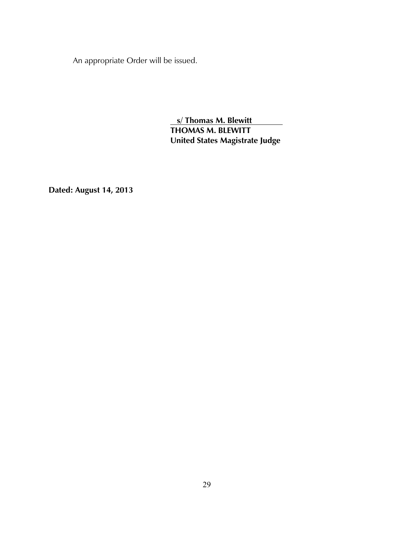An appropriate Order will be issued.

 **s/ Thomas M. Blewitt THOMAS M. BLEWITT United States Magistrate Judge**

**Dated: August 14, 2013**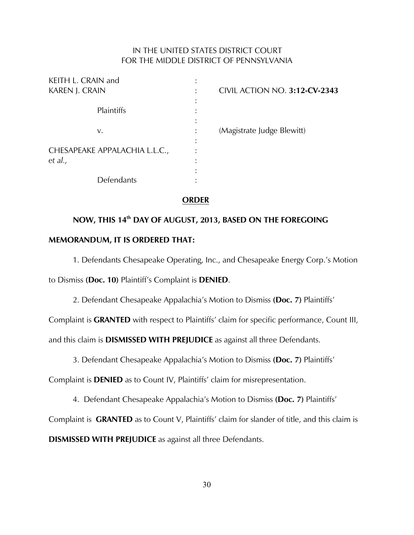# IN THE UNITED STATES DISTRICT COURT FOR THE MIDDLE DISTRICT OF PENNSYLVANIA

| KEITH L. CRAIN and            |  |
|-------------------------------|--|
| <b>KAREN J. CRAIN</b>         |  |
|                               |  |
| Plaintiffs                    |  |
|                               |  |
| v.                            |  |
|                               |  |
| CHESAPEAKE APPALACHIA L.L.C., |  |
| et al.,                       |  |
|                               |  |
| Defendants                    |  |
|                               |  |

KAREN J. CRAIN : CIVIL ACTION NO. **3:12-CV-2343**

(Magistrate Judge Blewitt)

## **ORDER**

# **NOW, THIS 14<sup>th</sup> DAY OF AUGUST, 2013, BASED ON THE FOREGOING MEMORANDUM, IT IS ORDERED THAT:**

1. Defendants Chesapeake Operating, Inc., and Chesapeake Energy Corp.'s Motion to Dismiss **(Doc. 10)** Plaintiff's Complaint is **DENIED**.

2. Defendant Chesapeake Appalachia's Motion to Dismiss **(Doc. 7)** Plaintiffs'

Complaint is **GRANTED** with respect to Plaintiffs' claim for specific performance, Count III,

and this claim is **DISMISSED WITH PREJUDICE** as against all three Defendants.

3. Defendant Chesapeake Appalachia's Motion to Dismiss **(Doc. 7)** Plaintiffs'

Complaint is **DENIED** as to Count IV, Plaintiffs' claim for misrepresentation.

4. Defendant Chesapeake Appalachia's Motion to Dismiss **(Doc. 7)** Plaintiffs'

Complaint is **GRANTED** as to Count V, Plaintiffs' claim for slander of title, and this claim is

**DISMISSED WITH PREJUDICE** as against all three Defendants.